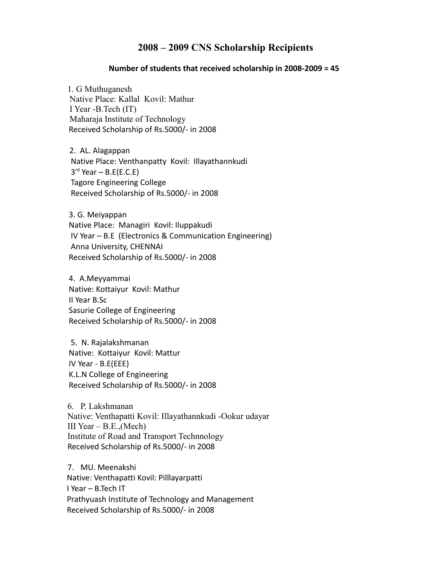## **2008 – 2009 CNS Scholarship Recipients**

## **Number of students that received scholarship in 2008-2009 = 45**

 1. G Muthuganesh Native Place: Kallal Kovil: Mathur I Year -B.Tech (IT) Maharaja Institute of Technology Received Scholarship of Rs.5000/- in 2008

 2. AL. Alagappan Native Place: Venthanpatty Kovil: Illayathannkudi  $3^{rd}$  Year – B.E(E.C.E) Tagore Engineering College Received Scholarship of Rs.5000/- in 2008

 3. G. Meiyappan Native Place: Managiri Kovil: Iluppakudi IV Year – B.E (Electronics & Communication Engineering) Anna University, CHENNAI Received Scholarship of Rs.5000/- in 2008

 4. A.Meyyammai Native: Kottaiyur Kovil: Mathur II Year B.Sc Sasurie College of Engineering Received Scholarship of Rs.5000/- in 2008

 5. N. Rajalakshmanan Native: Kottaiyur Kovil: Mattur IV Year - B.E(EEE) K.L.N College of Engineering Received Scholarship of Rs.5000/- in 2008

6. P. Lakshmanan Native: Venthapatti Kovil: Illayathannkudi -Ookur udayar III Year  $-$  B.E., (Mech) Institute of Road and Transport Technnology Received Scholarship of Rs.5000/- in 2008

7. MU. Meenakshi Native: Venthapatti Kovil: Pilllayarpatti I Year – B.Tech IT Prathyuash Institute of Technology and Management Received Scholarship of Rs.5000/- in 2008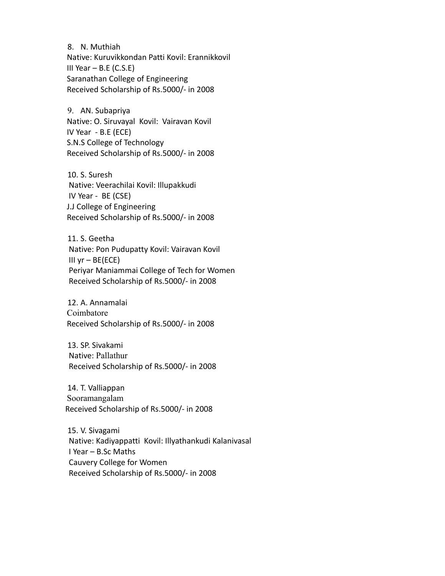8. N. Muthiah Native: Kuruvikkondan Patti Kovil: Erannikkovil III Year – B.E (C.S.E) Saranathan College of Engineering Received Scholarship of Rs.5000/- in 2008

9. AN. Subapriya Native: O. Siruvayal Kovil: Vairavan Kovil IV Year - B.E (ECE) S.N.S College of Technology Received Scholarship of Rs.5000/- in 2008

10. S. Suresh Native: Veerachilai Kovil: Illupakkudi IV Year - BE (CSE) J.J College of Engineering Received Scholarship of Rs.5000/- in 2008

11. S. Geetha Native: Pon Pudupatty Kovil: Vairavan Kovil III  $yr - BE(ECE)$  Periyar Maniammai College of Tech for Women Received Scholarship of Rs.5000/- in 2008

12. A. Annamalai Coimbatore Received Scholarship of Rs.5000/- in 2008

13. SP. Sivakami Native: Pallathur Received Scholarship of Rs.5000/- in 2008

14. T. Valliappan Sooramangalam Received Scholarship of Rs.5000/- in 2008

15. V. Sivagami Native: Kadiyappatti Kovil: Illyathankudi Kalanivasal I Year – B.Sc Maths Cauvery College for Women Received Scholarship of Rs.5000/- in 2008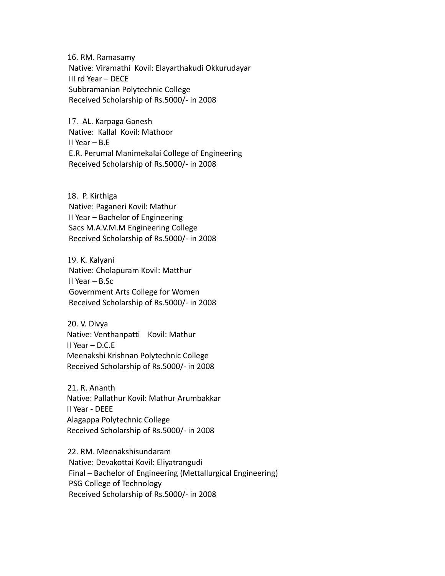16. RM. Ramasamy Native: Viramathi Kovil: Elayarthakudi Okkurudayar III rd Year – DECE Subbramanian Polytechnic College Received Scholarship of Rs.5000/- in 2008

17. AL. Karpaga Ganesh Native: Kallal Kovil: Mathoor II Year – B.E E.R. Perumal Manimekalai College of Engineering Received Scholarship of Rs.5000/- in 2008

18. P. Kirthiga Native: Paganeri Kovil: Mathur II Year – Bachelor of Engineering Sacs M.A.V.M.M Engineering College Received Scholarship of Rs.5000/- in 2008

19. K. Kalyani Native: Cholapuram Kovil: Matthur II Year – B.Sc Government Arts College for Women Received Scholarship of Rs.5000/- in 2008

20. V. Divya Native: Venthanpatti Kovil: Mathur II Year – D.C.E Meenakshi Krishnan Polytechnic College Received Scholarship of Rs.5000/- in 2008

21. R. Ananth Native: Pallathur Kovil: Mathur Arumbakkar II Year - DEEE Alagappa Polytechnic College Received Scholarship of Rs.5000/- in 2008

22. RM. Meenakshisundaram Native: Devakottai Kovil: Eliyatrangudi Final – Bachelor of Engineering (Mettallurgical Engineering) PSG College of Technology Received Scholarship of Rs.5000/- in 2008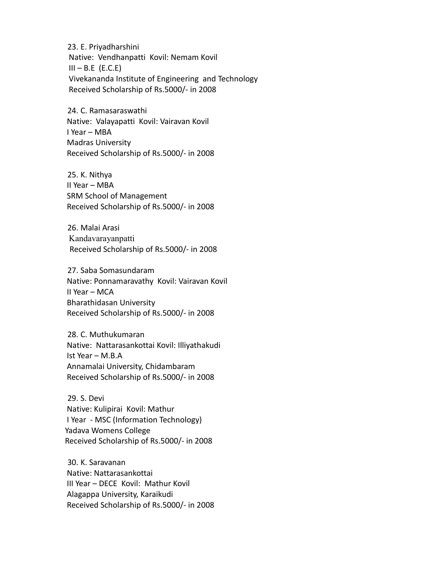23. E. Priyadharshini Native: Vendhanpatti Kovil: Nemam Kovil  $III - B.E (E.C.E)$  Vivekananda Institute of Engineering and Technology Received Scholarship of Rs.5000/- in 2008

24. C. Ramasaraswathi Native: Valayapatti Kovil: Vairavan Kovil I Year – MBA Madras University Received Scholarship of Rs.5000/- in 2008

25. K. Nithya II Year – MBA SRM School of Management Received Scholarship of Rs.5000/- in 2008

26. Malai Arasi Kandavarayanpatti Received Scholarship of Rs.5000/- in 2008

27. Saba Somasundaram Native: Ponnamaravathy Kovil: Vairavan Kovil II Year – MCA Bharathidasan University Received Scholarship of Rs.5000/- in 2008

28. C. Muthukumaran Native: Nattarasankottai Kovil: Illiyathakudi Ist Year – M.B.A Annamalai University, Chidambaram Received Scholarship of Rs.5000/- in 2008

29. S. Devi Native: Kulipirai Kovil: Mathur I Year - MSC (Information Technology) Yadava Womens College Received Scholarship of Rs.5000/- in 2008

30. K. Saravanan Native: Nattarasankottai III Year – DECE Kovil: Mathur Kovil Alagappa University, Karaikudi Received Scholarship of Rs.5000/- in 2008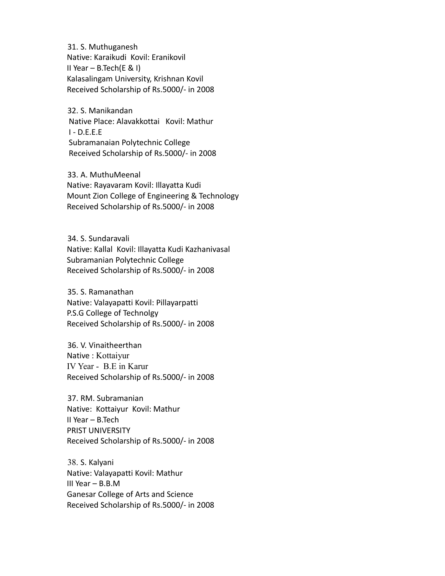31. S. Muthuganesh Native: Karaikudi Kovil: Eranikovil II Year  $-$  B.Tech(E & I) Kalasalingam University, Krishnan Kovil Received Scholarship of Rs.5000/- in 2008

32. S. Manikandan Native Place: Alavakkottai Kovil: Mathur I - D.E.E.E Subramanaian Polytechnic College Received Scholarship of Rs.5000/- in 2008

33. A. MuthuMeenal Native: Rayavaram Kovil: Illayatta Kudi Mount Zion College of Engineering & Technology Received Scholarship of Rs.5000/- in 2008

34. S. Sundaravali Native: Kallal Kovil: Illayatta Kudi Kazhanivasal Subramanian Polytechnic College Received Scholarship of Rs.5000/- in 2008

35. S. Ramanathan Native: Valayapatti Kovil: Pillayarpatti P.S.G College of Technolgy Received Scholarship of Rs.5000/- in 2008

36. V. Vinaitheerthan Native : Kottaiyur IV Year - B.E in Karur Received Scholarship of Rs.5000/- in 2008

37. RM. Subramanian Native: Kottaiyur Kovil: Mathur II Year – B.Tech PRIST UNIVERSITY Received Scholarship of Rs.5000/- in 2008

38. S. Kalyani Native: Valayapatti Kovil: Mathur III Year – B.B.M Ganesar College of Arts and Science Received Scholarship of Rs.5000/- in 2008